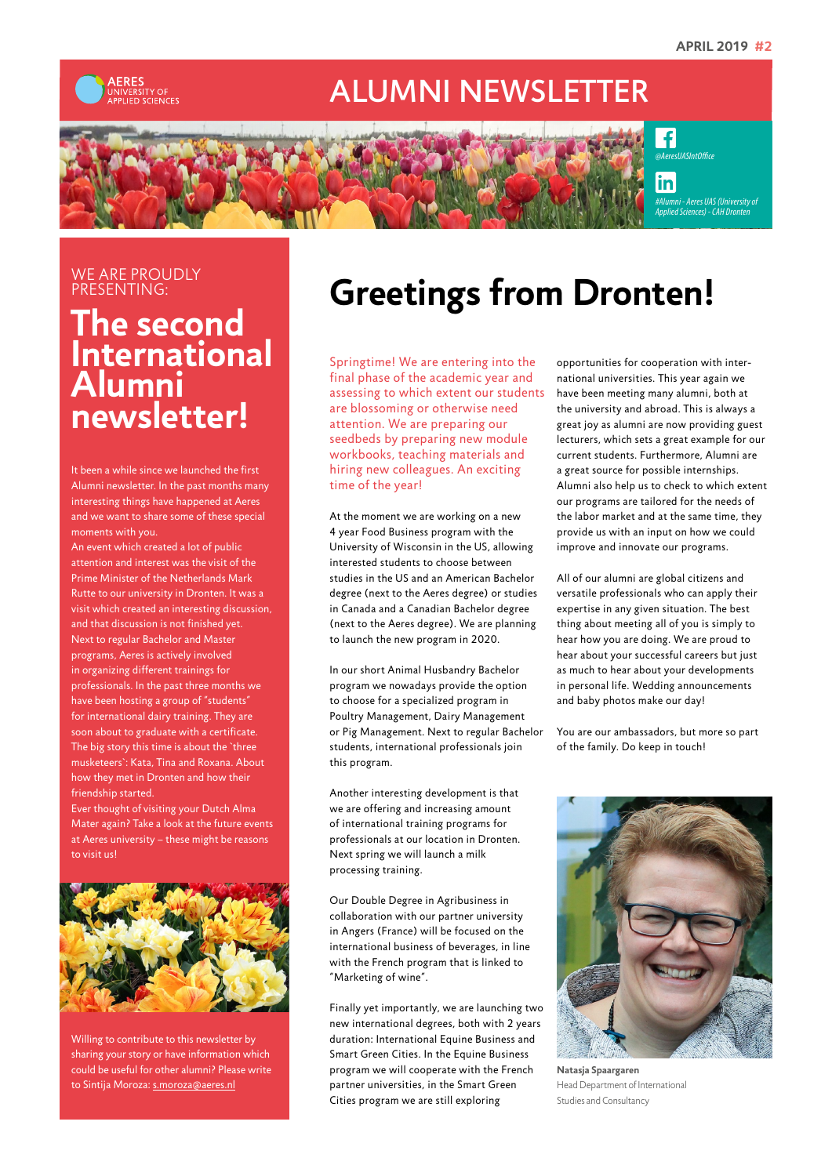

## ALUMNI NEWSLETTER



 $\overline{f}$ *[@AeresUASIntOffice](https://www.facebook.com/AeresUASIntOffice/)*

in

*[#Alumni - Aeres UAS](https://www.linkedin.com/groups/3298614/) (University of Applied Sciences) - CAH Dronten*

#### WE ARE PROUDLY PRESENTING:

### **The second International Alumni newsletter!**

It been a while since we launched the first Alumni newsletter. In the past months many interesting things have happened at Aeres and we want to share some of these special moments with you.

An event which created a lot of public attention and interest was the visit of the Prime Minister of the Netherlands Mark Rutte to our university in Dronten. It was a visit which created an interesting discussion, and that discussion is not finished yet. Next to regular Bachelor and Master programs, Aeres is actively involved in organizing different trainings for professionals. In the past three months we have been hosting a group of "students" for international dairy training. They are soon about to graduate with a certificate. The big story this time is about the `three musketeers`: Kata, Tina and Roxana. About how they met in Dronten and how their friendship started.

Ever thought of visiting your Dutch Alma Mater again? Take a look at the future events at Aeres university – these might be reasons to visit us!



Willing to contribute to this newsletter by sharing your story or have information which could be useful for other alumni? Please write to Sintija Moroza: [s.moroza@aeres.nl](mailto:s.moroza@aeres.nl)

# **Greetings from Dronten!**

Springtime! We are entering into the final phase of the academic year and assessing to which extent our students are blossoming or otherwise need attention. We are preparing our seedbeds by preparing new module workbooks, teaching materials and hiring new colleagues. An exciting time of the year!

At the moment we are working on a new 4 year Food Business program with the University of Wisconsin in the US, allowing interested students to choose between studies in the US and an American Bachelor degree (next to the Aeres degree) or studies in Canada and a Canadian Bachelor degree (next to the Aeres degree). We are planning to launch the new program in 2020.

In our short Animal Husbandry Bachelor program we nowadays provide the option to choose for a specialized program in Poultry Management, Dairy Management or Pig Management. Next to regular Bachelor students, international professionals join this program.

Another interesting development is that we are offering and increasing amount of international training programs for professionals at our location in Dronten. Next spring we will launch a milk processing training.

Our Double Degree in Agribusiness in collaboration with our partner university in Angers (France) will be focused on the international business of beverages, in line with the French program that is linked to "Marketing of wine".

Finally yet importantly, we are launching two new international degrees, both with 2 years duration: International Equine Business and Smart Green Cities. In the Equine Business program we will cooperate with the French partner universities, in the Smart Green Cities program we are still exploring

opportunities for cooperation with international universities. This year again we have been meeting many alumni, both at the university and abroad. This is always a great joy as alumni are now providing guest lecturers, which sets a great example for our current students. Furthermore, Alumni are a great source for possible internships. Alumni also help us to check to which extent our programs are tailored for the needs of the labor market and at the same time, they provide us with an input on how we could improve and innovate our programs.

All of our alumni are global citizens and versatile professionals who can apply their expertise in any given situation. The best thing about meeting all of you is simply to hear how you are doing. We are proud to hear about your successful careers but just as much to hear about your developments in personal life. Wedding announcements and baby photos make our day!

You are our ambassadors, but more so part of the family. Do keep in touch!



**Natasja Spaargaren** Head Department of International Studies and Consultancy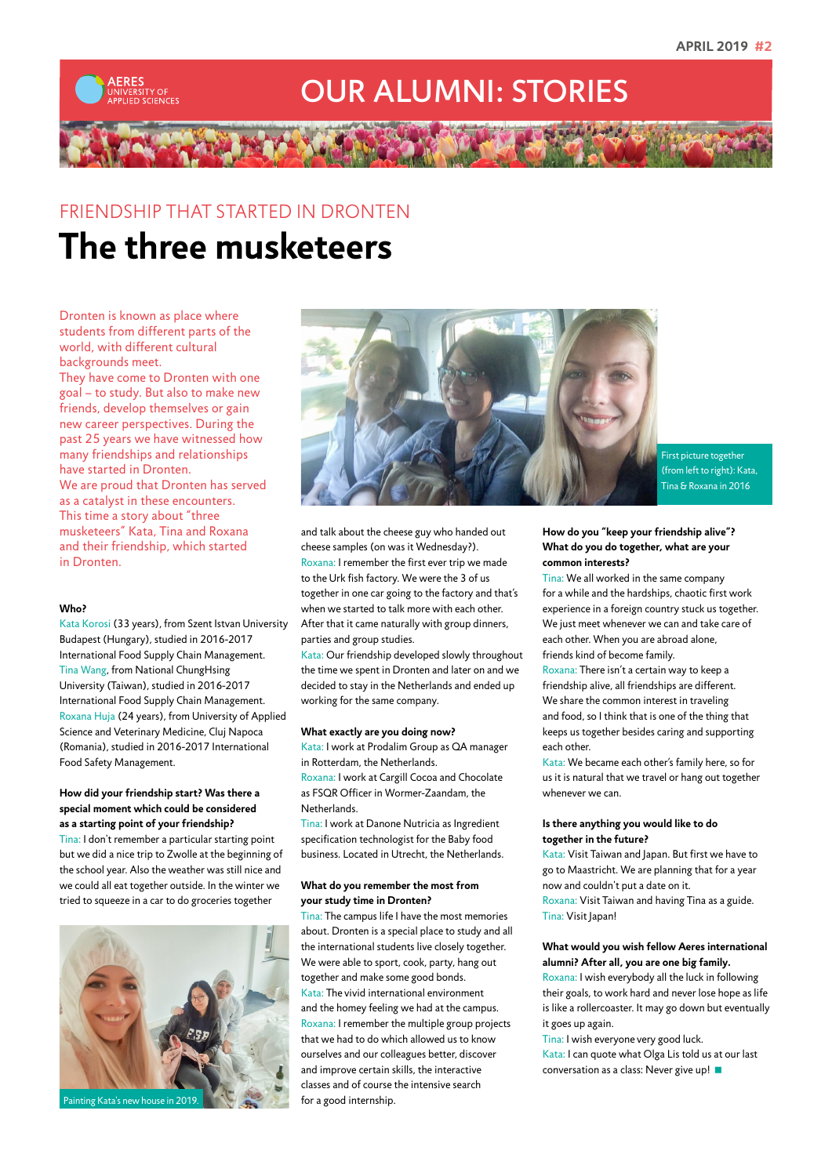

## OUR ALUMNI: STORIES

## FRIENDSHIP THAT STARTED IN DRONTEN **The three musketeers**

Dronten is known as place where students from different parts of the world, with different cultural backgrounds meet.

They have come to Dronten with one goal – to study. But also to make new friends, develop themselves or gain new career perspectives. During the past 25 years we have witnessed how many friendships and relationships have started in Dronten. We are proud that Dronten has served as a catalyst in these encounters. This time a story about "three musketeers" Kata, Tina and Roxana and their friendship, which started in Dronten.

#### **Who?**

Kata Korosi (33 years), from Szent Istvan University Budapest (Hungary), studied in 2016-2017 International Food Supply Chain Management. Tina Wang, from National ChungHsing University (Taiwan), studied in 2016-2017 International Food Supply Chain Management. Roxana Huja (24 years), from University of Applied Science and Veterinary Medicine, Cluj Napoca (Romania), studied in 2016-2017 International Food Safety Management.

#### **How did your friendship start? Was there a special moment which could be considered as a starting point of your friendship?**

Tina: I don't remember a particular starting point but we did a nice trip to Zwolle at the beginning of the school year. Also the weather was still nice and we could all eat together outside. In the winter we tried to squeeze in a car to do groceries together





First picture together (from left to right): Kata, Tina & Roxana in 2016

and talk about the cheese guy who handed out cheese samples (on was it Wednesday?). Roxana: I remember the first ever trip we made to the Urk fish factory. We were the 3 of us together in one car going to the factory and that's when we started to talk more with each other. After that it came naturally with group dinners, parties and group studies.

Kata: Our friendship developed slowly throughout the time we spent in Dronten and later on and we decided to stay in the Netherlands and ended up working for the same company.

#### **What exactly are you doing now?**

Kata: I work at Prodalim Group as QA manager in Rotterdam, the Netherlands. Roxana: I work at Cargill Cocoa and Chocolate as FSQR Officer in Wormer-Zaandam, the

Netherlands. Tina: I work at Danone Nutricia as Ingredient specification technologist for the Baby food

business. Located in Utrecht, the Netherlands.

#### **What do you remember the most from your study time in Dronten?**

Tina: The campus life I have the most memories about. Dronten is a special place to study and all the international students live closely together. We were able to sport, cook, party, hang out together and make some good bonds. Kata: The vivid international environment and the homey feeling we had at the campus. Roxana: I remember the multiple group projects that we had to do which allowed us to know ourselves and our colleagues better, discover and improve certain skills, the interactive classes and of course the intensive search for a good internship.

#### **How do you "keep your friendship alive"? What do you do together, what are your common interests?**

Tina: We all worked in the same company for a while and the hardships, chaotic first work experience in a foreign country stuck us together. We just meet whenever we can and take care of each other. When you are abroad alone, friends kind of become family.

Roxana: There isn't a certain way to keep a friendship alive, all friendships are different. We share the common interest in traveling and food, so I think that is one of the thing that keeps us together besides caring and supporting each other.

Kata: We became each other's family here, so for us it is natural that we travel or hang out together whenever we can.

#### **Is there anything you would like to do together in the future?**

Kata: Visit Taiwan and Japan. But first we have to go to Maastricht. We are planning that for a year now and couldn't put a date on it. Roxana: Visit Taiwan and having Tina as a guide. Tina: Visit Japan!

#### **What would you wish fellow Aeres international alumni? After all, you are one big family.**

Roxana: I wish everybody all the luck in following their goals, to work hard and never lose hope as life is like a rollercoaster. It may go down but eventually it goes up again.

Tina: I wish everyone very good luck. Kata: I can quote what Olga Lis told us at our last conversation as a class: Never give up!